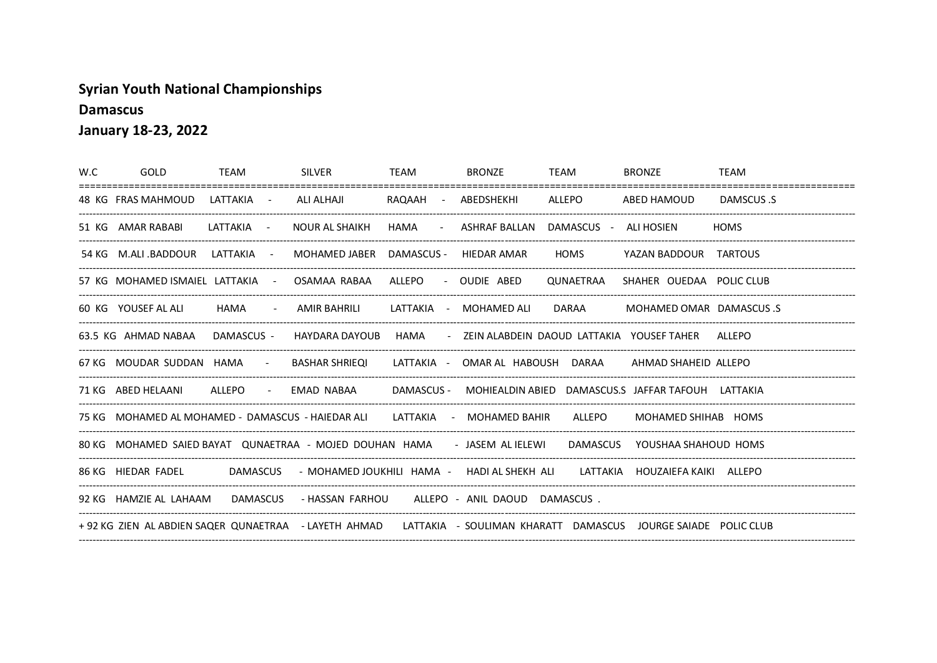## **Syrian Youth National Championships**

**Damascus** 

January 18-23, 2022

| W.C | GOLD | TEAM | SILVER                                                                                                                | TEAM | <b>BRONZE</b>                              | TEAM | <b>BRONZE</b>              | TEAM        |
|-----|------|------|-----------------------------------------------------------------------------------------------------------------------|------|--------------------------------------------|------|----------------------------|-------------|
|     |      |      | 48 KG FRAS MAHMOUD LATTAKIA - ALI ALHAJI   RAQAAH - ABEDSHEKHI   ALLEPO   ABED HAMOUD                                 |      |                                            |      |                            | DAMSCUS .S  |
|     |      |      | 51 KG AMAR RABABI LATTAKIA - NOUR AL SHAIKH                                                                           |      | HAMA - ASHRAF BALLAN DAMASCUS - ALI-HOSIEN |      |                            | <b>HOMS</b> |
|     |      |      | 54 KG M.ALI .BADDOUR LATTAKIA - MOHAMED JABER DAMASCUS - HIEDAR AMAR                                                  |      |                                            |      | HOMS YAZAN BADDOUR TARTOUS |             |
|     |      |      | 57 KG MOHAMED ISMAIEL LATTAKIA - OSAMAA RABAA ALLEPO - OUDIE ABED QUNAETRAA SHAHER OUEDAA POLICCLUB                   |      |                                            |      |                            |             |
|     |      |      | 60 KG YOUSEF AL ALI HAMA - AMIR BAHRILI LATTAKIA - MOHAMED ALI DARAA MOHAMED OMAR DAMASCUS .S                         |      |                                            |      |                            |             |
|     |      |      | 63.5 KG AHMAD NABAA DAMASCUS - HAYDARA DAYOUB HAMA - ZEIN ALABDEIN DAOUD LATTAKIA YOUSEFTAHER ALLEPO                  |      |                                            |      |                            |             |
|     |      |      | 67 KG MOUDAR SUDDAN HAMA - BASHAR SHRIEQI LATTAKIA - OMARAL HABOUSH DARAA AHMAD SHAHEID ALLEPO                        |      |                                            |      |                            |             |
|     |      |      | 71 KG ABED HELAANI ALLEPO - EMAD NABAA DAMASCUS - MOHIEALDIN ABIED DAMASCUS.S JAFFAR TAFOUH LATTAKIA                  |      |                                            |      |                            |             |
|     |      |      | 75 KG MOHAMED AL MOHAMED - DAMASCUS - HAIEDAR ALI LATTAKIA - MOHAMED BAHIR ALLEPO MOHAMED SHIHAB HOMS                 |      |                                            |      |                            |             |
|     |      |      | 80 KG MOHAMED SAIED BAYAT QUNAETRAA - MOJED DOUHAN HAMA - JASEM ALIELEWI DAMASCUS YOUSHAA SHAHOUD HOMS                |      |                                            |      |                            |             |
|     |      |      | 86 KG HIEDAR FADEL     DAMASCUS   - MOHAMED JOUKHILI HAMA -   HADI AL SHEKH ALI     LATTAKIA  HOUZAIEFA KAIKI  ALLEPO |      |                                            |      |                            |             |
|     |      |      | 92 KG HAMZIE AL LAHAAM DAMASCUS - HASSAN FARHOU ALLEPO - ANIL DAOUD DAMASCUS.                                         |      |                                            |      |                            |             |
|     |      |      | +92 KG ZIEN AL ABDIEN SAQER QUNAETRAA - LAYETH AHMAD - LATTAKIA - SOULIMAN KHARATT DAMASCUS JOURGE SAIADE POLIC CLUB  |      |                                            |      |                            |             |